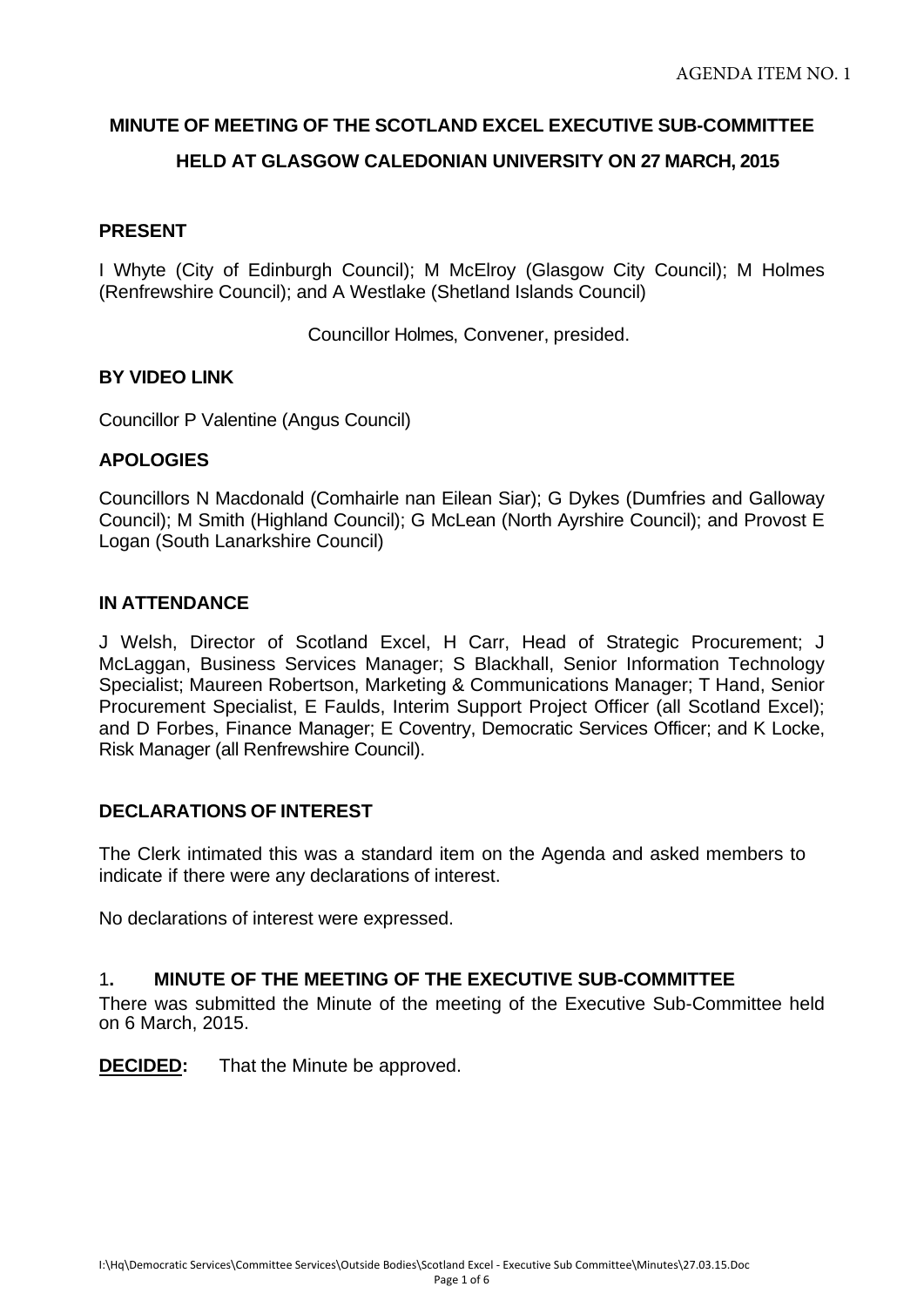## **MINUTE OF MEETING OF THE SCOTLAND EXCEL EXECUTIVE SUB-COMMITTEE**

## **HELD AT GLASGOW CALEDONIAN UNIVERSITY ON 27 MARCH, 2015**

### **PRESENT**

I Whyte (City of Edinburgh Council); M McElroy (Glasgow City Council); M Holmes (Renfrewshire Council); and A Westlake (Shetland Islands Council)

Councillor Holmes, Convener, presided.

### **BY VIDEO LINK**

Councillor P Valentine (Angus Council)

### **APOLOGIES**

Councillors N Macdonald (Comhairle nan Eilean Siar); G Dykes (Dumfries and Galloway Council); M Smith (Highland Council); G McLean (North Ayrshire Council); and Provost E Logan (South Lanarkshire Council)

## **IN ATTENDANCE**

J Welsh, Director of Scotland Excel, H Carr, Head of Strategic Procurement; J McLaggan, Business Services Manager; S Blackhall, Senior Information Technology Specialist; Maureen Robertson, Marketing & Communications Manager; T Hand, Senior Procurement Specialist, E Faulds, Interim Support Project Officer (all Scotland Excel); and D Forbes, Finance Manager; E Coventry, Democratic Services Officer; and K Locke, Risk Manager (all Renfrewshire Council).

### **DECLARATIONS OF INTEREST**

The Clerk intimated this was a standard item on the Agenda and asked members to indicate if there were any declarations of interest.

No declarations of interest were expressed.

### 1**. MINUTE OF THE MEETING OF THE EXECUTIVE SUB-COMMITTEE**

There was submitted the Minute of the meeting of the Executive Sub-Committee held on 6 March, 2015.

**DECIDED:** That the Minute be approved.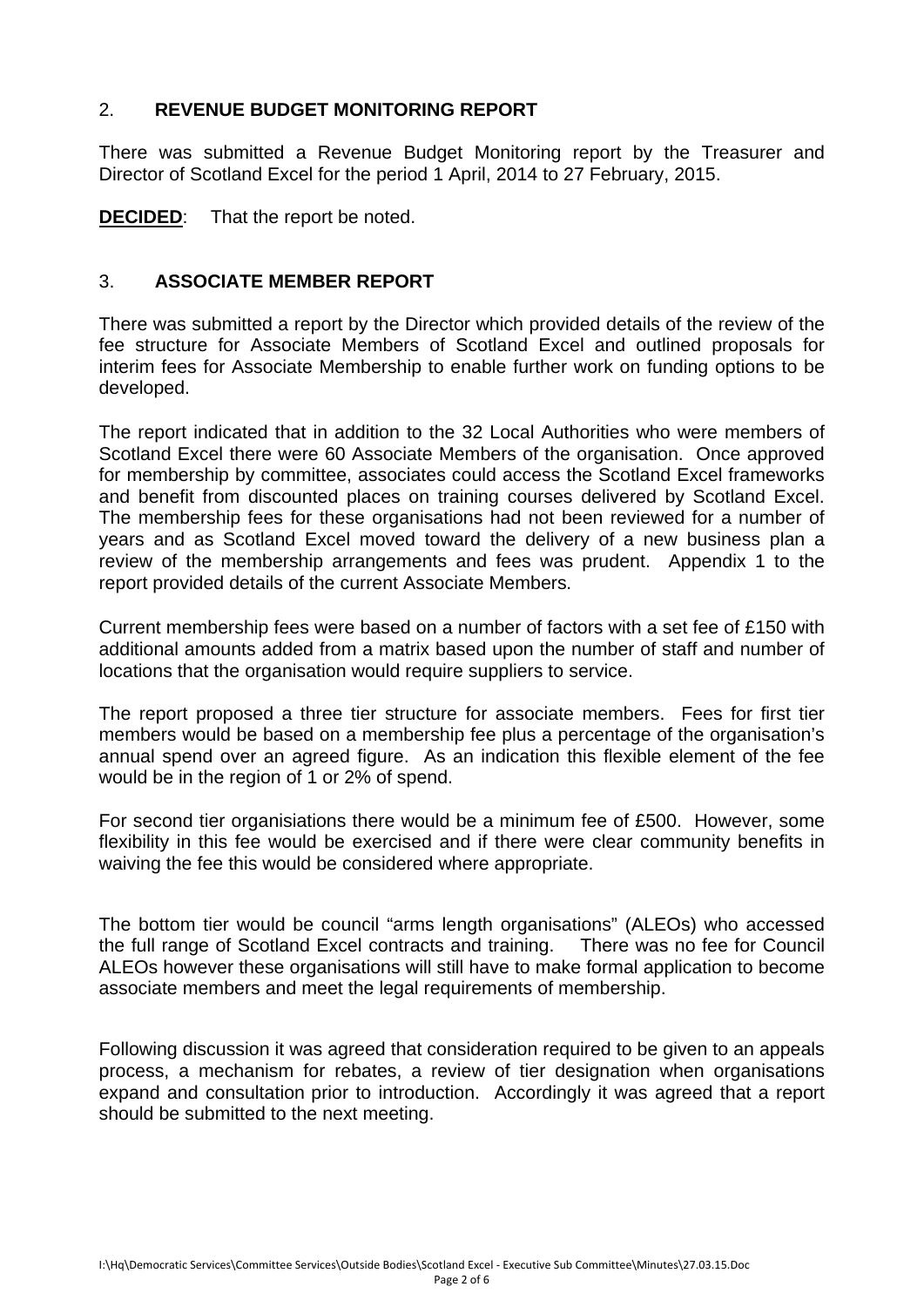# 2. **REVENUE BUDGET MONITORING REPORT**

There was submitted a Revenue Budget Monitoring report by the Treasurer and Director of Scotland Excel for the period 1 April, 2014 to 27 February, 2015.

**DECIDED**: That the report be noted.

# 3. **ASSOCIATE MEMBER REPORT**

There was submitted a report by the Director which provided details of the review of the fee structure for Associate Members of Scotland Excel and outlined proposals for interim fees for Associate Membership to enable further work on funding options to be developed.

The report indicated that in addition to the 32 Local Authorities who were members of Scotland Excel there were 60 Associate Members of the organisation. Once approved for membership by committee, associates could access the Scotland Excel frameworks and benefit from discounted places on training courses delivered by Scotland Excel. The membership fees for these organisations had not been reviewed for a number of years and as Scotland Excel moved toward the delivery of a new business plan a review of the membership arrangements and fees was prudent. Appendix 1 to the report provided details of the current Associate Members.

Current membership fees were based on a number of factors with a set fee of £150 with additional amounts added from a matrix based upon the number of staff and number of locations that the organisation would require suppliers to service.

The report proposed a three tier structure for associate members. Fees for first tier members would be based on a membership fee plus a percentage of the organisation's annual spend over an agreed figure. As an indication this flexible element of the fee would be in the region of 1 or 2% of spend.

For second tier organisiations there would be a minimum fee of £500. However, some flexibility in this fee would be exercised and if there were clear community benefits in waiving the fee this would be considered where appropriate.

The bottom tier would be council "arms length organisations" (ALEOs) who accessed the full range of Scotland Excel contracts and training. There was no fee for Council ALEOs however these organisations will still have to make formal application to become associate members and meet the legal requirements of membership.

Following discussion it was agreed that consideration required to be given to an appeals process, a mechanism for rebates, a review of tier designation when organisations expand and consultation prior to introduction. Accordingly it was agreed that a report should be submitted to the next meeting.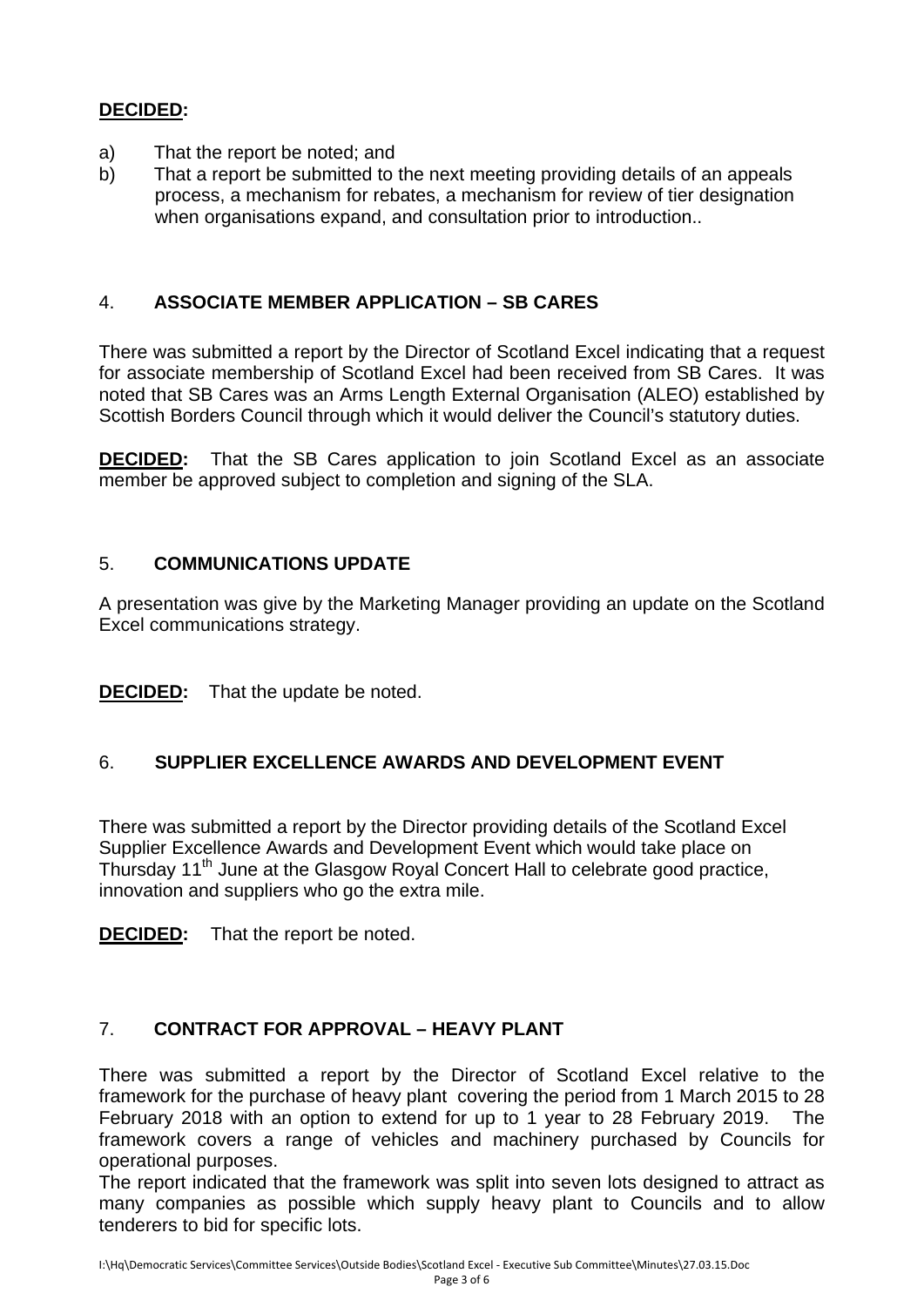# **DECIDED:**

- a) That the report be noted; and
- b) That a report be submitted to the next meeting providing details of an appeals process, a mechanism for rebates, a mechanism for review of tier designation when organisations expand, and consultation prior to introduction..

# 4. **ASSOCIATE MEMBER APPLICATION – SB CARES**

There was submitted a report by the Director of Scotland Excel indicating that a request for associate membership of Scotland Excel had been received from SB Cares. It was noted that SB Cares was an Arms Length External Organisation (ALEO) established by Scottish Borders Council through which it would deliver the Council's statutory duties.

**DECIDED:** That the SB Cares application to join Scotland Excel as an associate member be approved subject to completion and signing of the SLA.

## 5. **COMMUNICATIONS UPDATE**

A presentation was give by the Marketing Manager providing an update on the Scotland Excel communications strategy.

**DECIDED:** That the update be noted.

## 6. **SUPPLIER EXCELLENCE AWARDS AND DEVELOPMENT EVENT**

There was submitted a report by the Director providing details of the Scotland Excel Supplier Excellence Awards and Development Event which would take place on Thursday 11<sup>th</sup> June at the Glasgow Royal Concert Hall to celebrate good practice, innovation and suppliers who go the extra mile.

**DECIDED:** That the report be noted.

# 7. **CONTRACT FOR APPROVAL – HEAVY PLANT**

There was submitted a report by the Director of Scotland Excel relative to the framework for the purchase of heavy plant covering the period from 1 March 2015 to 28 February 2018 with an option to extend for up to 1 year to 28 February 2019. The framework covers a range of vehicles and machinery purchased by Councils for operational purposes.

The report indicated that the framework was split into seven lots designed to attract as many companies as possible which supply heavy plant to Councils and to allow tenderers to bid for specific lots.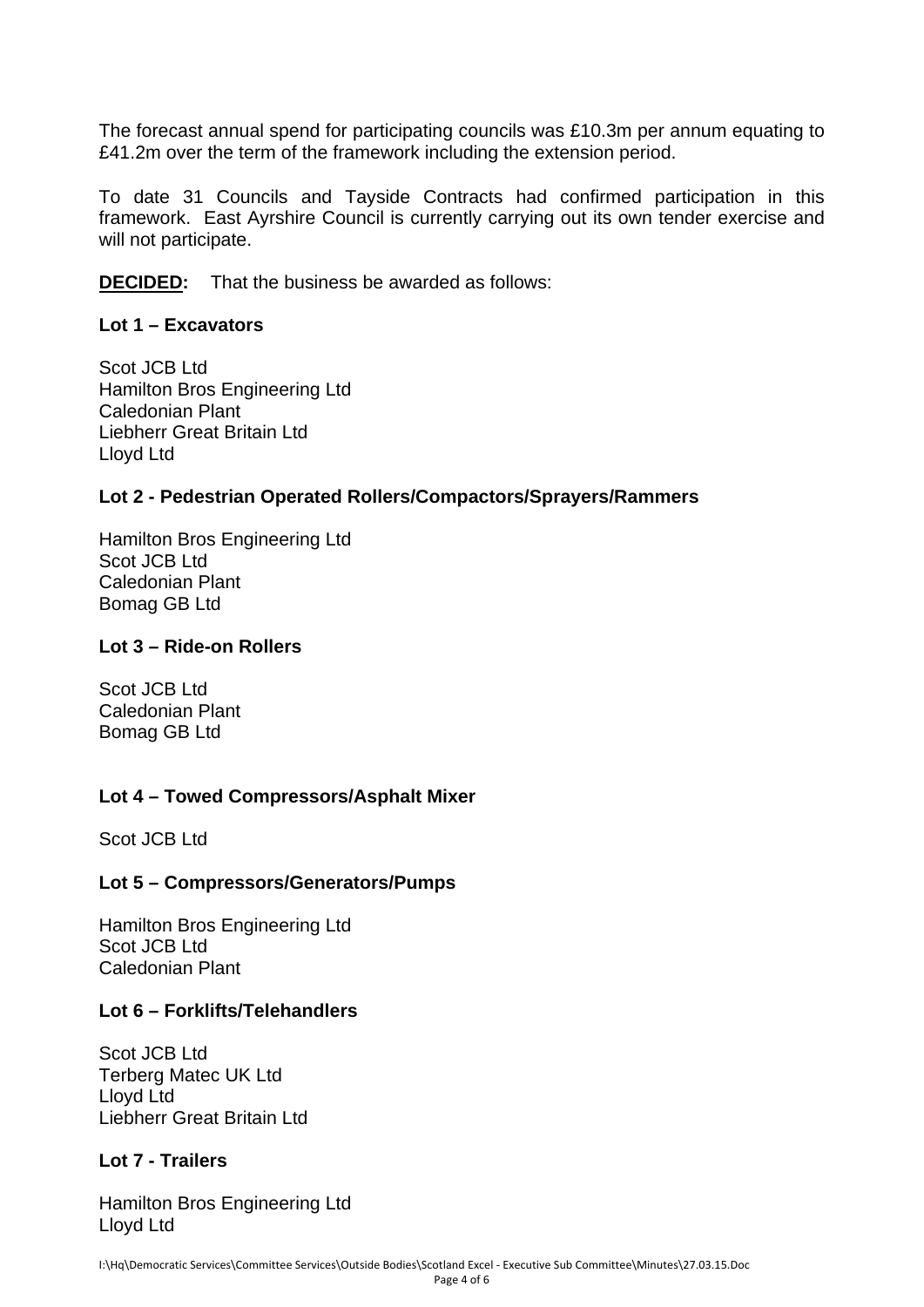The forecast annual spend for participating councils was £10.3m per annum equating to £41.2m over the term of the framework including the extension period.

To date 31 Councils and Tayside Contracts had confirmed participation in this framework. East Ayrshire Council is currently carrying out its own tender exercise and will not participate.

**DECIDED:** That the business be awarded as follows:

### **Lot 1 – Excavators**

Scot JCB Ltd Hamilton Bros Engineering Ltd Caledonian Plant Liebherr Great Britain Ltd Lloyd Ltd

## **Lot 2 - Pedestrian Operated Rollers/Compactors/Sprayers/Rammers**

Hamilton Bros Engineering Ltd Scot JCB Ltd Caledonian Plant Bomag GB Ltd

### **Lot 3 – Ride-on Rollers**

Scot JCB Ltd Caledonian Plant Bomag GB Ltd

## **Lot 4 – Towed Compressors/Asphalt Mixer**

Scot JCB Ltd

### **Lot 5 – Compressors/Generators/Pumps**

Hamilton Bros Engineering Ltd Scot JCB Ltd Caledonian Plant

## **Lot 6 – Forklifts/Telehandlers**

Scot JCB Ltd Terberg Matec UK Ltd Lloyd Ltd Liebherr Great Britain Ltd

### **Lot 7 - Trailers**

Hamilton Bros Engineering Ltd Lloyd Ltd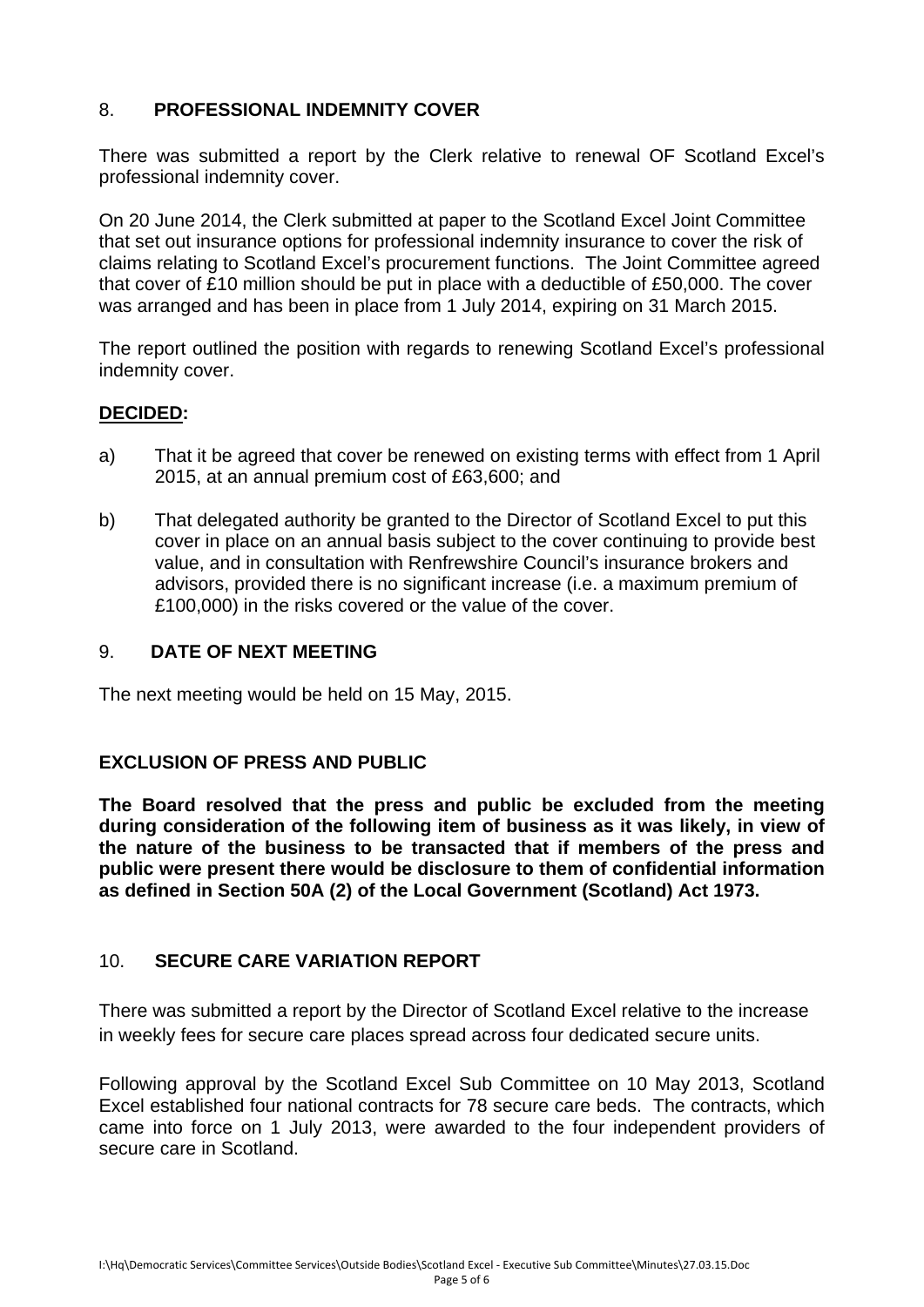# 8. **PROFESSIONAL INDEMNITY COVER**

There was submitted a report by the Clerk relative to renewal OF Scotland Excel's professional indemnity cover.

On 20 June 2014, the Clerk submitted at paper to the Scotland Excel Joint Committee that set out insurance options for professional indemnity insurance to cover the risk of claims relating to Scotland Excel's procurement functions. The Joint Committee agreed that cover of £10 million should be put in place with a deductible of £50,000. The cover was arranged and has been in place from 1 July 2014, expiring on 31 March 2015.

The report outlined the position with regards to renewing Scotland Excel's professional indemnity cover.

## **DECIDED:**

- a) That it be agreed that cover be renewed on existing terms with effect from 1 April 2015, at an annual premium cost of £63,600; and
- b) That delegated authority be granted to the Director of Scotland Excel to put this cover in place on an annual basis subject to the cover continuing to provide best value, and in consultation with Renfrewshire Council's insurance brokers and advisors, provided there is no significant increase (i.e. a maximum premium of £100,000) in the risks covered or the value of the cover.

## 9. **DATE OF NEXT MEETING**

The next meeting would be held on 15 May, 2015.

## **EXCLUSION OF PRESS AND PUBLIC**

**The Board resolved that the press and public be excluded from the meeting during consideration of the following item of business as it was likely, in view of the nature of the business to be transacted that if members of the press and public were present there would be disclosure to them of confidential information as defined in Section 50A (2) of the Local Government (Scotland) Act 1973.** 

## 10. **SECURE CARE VARIATION REPORT**

There was submitted a report by the Director of Scotland Excel relative to the increase in weekly fees for secure care places spread across four dedicated secure units.

Following approval by the Scotland Excel Sub Committee on 10 May 2013, Scotland Excel established four national contracts for 78 secure care beds. The contracts, which came into force on 1 July 2013, were awarded to the four independent providers of secure care in Scotland.